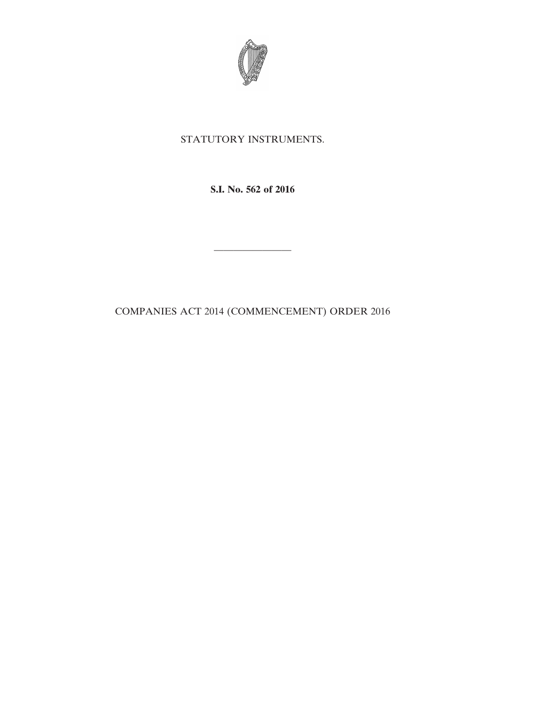

## STATUTORY INSTRUMENTS.

**S.I. No. 562 of 2016**

————————

COMPANIES ACT 2014 (COMMENCEMENT) ORDER 2016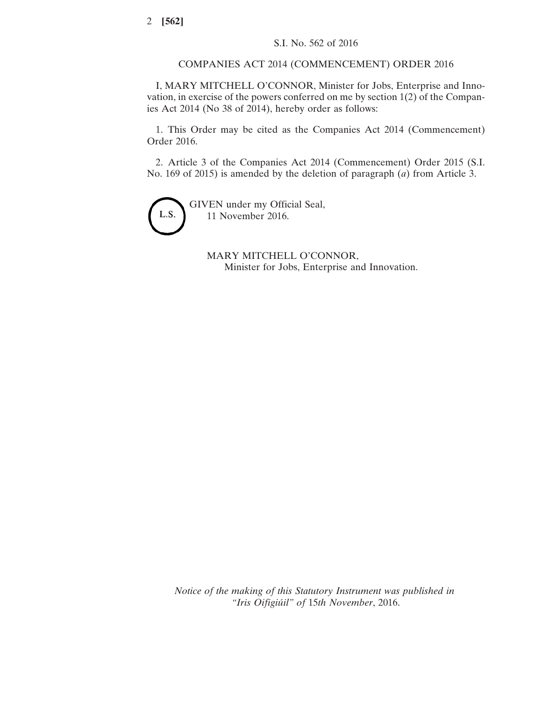COMPANIES ACT 2014 (COMMENCEMENT) ORDER 2016

I, MARY MITCHELL O'CONNOR, Minister for Jobs, Enterprise and Innovation, in exercise of the powers conferred on me by section 1(2) of the Companies Act 2014 (No 38 of 2014), hereby order as follows:

1. This Order may be cited as the Companies Act 2014 (Commencement) Order 2016.

2. Article 3 of the Companies Act 2014 (Commencement) Order 2015 (S.I. No. 169 of 2015) is amended by the deletion of paragraph (*a*) from Article 3.



GIVEN under my Official Seal, 11 November 2016.

> MARY MITCHELL O'CONNOR, Minister for Jobs, Enterprise and Innovation.

*Notice of the making of this Statutory Instrument was published in "Iris Oifigiúil" of* 15*th November*, 2016.